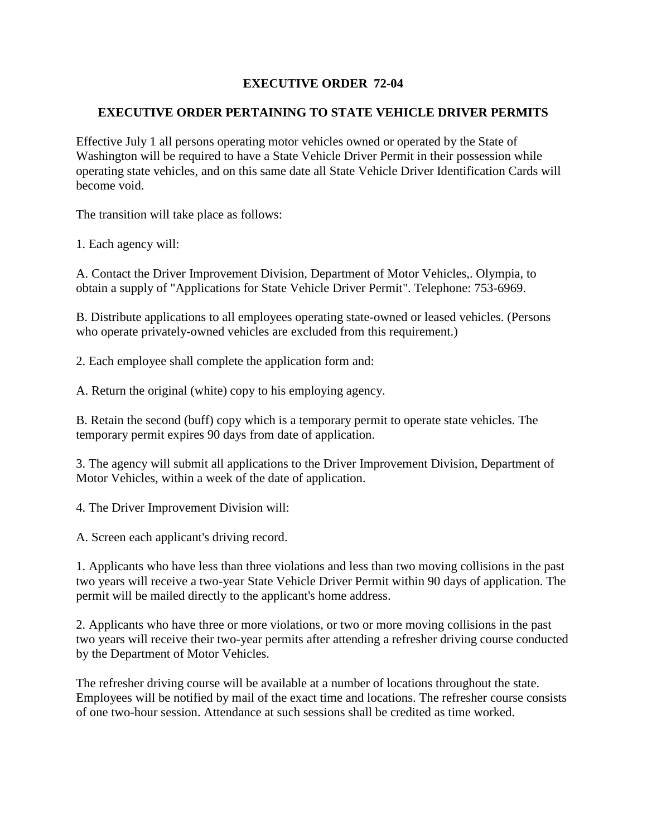## **EXECUTIVE ORDER 72-04**

## **EXECUTIVE ORDER PERTAINING TO STATE VEHICLE DRIVER PERMITS**

Effective July 1 all persons operating motor vehicles owned or operated by the State of Washington will be required to have a State Vehicle Driver Permit in their possession while operating state vehicles, and on this same date all State Vehicle Driver Identification Cards will become void.

The transition will take place as follows:

1. Each agency will:

A. Contact the Driver Improvement Division, Department of Motor Vehicles,. Olympia, to obtain a supply of "Applications for State Vehicle Driver Permit". Telephone: 753-6969.

B. Distribute applications to all employees operating state-owned or leased vehicles. (Persons who operate privately-owned vehicles are excluded from this requirement.)

2. Each employee shall complete the application form and:

A. Return the original (white) copy to his employing agency.

B. Retain the second (buff) copy which is a temporary permit to operate state vehicles. The temporary permit expires 90 days from date of application.

3. The agency will submit all applications to the Driver Improvement Division, Department of Motor Vehicles, within a week of the date of application.

4. The Driver Improvement Division will:

A. Screen each applicant's driving record.

1. Applicants who have less than three violations and less than two moving collisions in the past two years will receive a two-year State Vehicle Driver Permit within 90 days of application. The permit will be mailed directly to the applicant's home address.

2. Applicants who have three or more violations, or two or more moving collisions in the past two years will receive their two-year permits after attending a refresher driving course conducted by the Department of Motor Vehicles.

The refresher driving course will be available at a number of locations throughout the state. Employees will be notified by mail of the exact time and locations. The refresher course consists of one two-hour session. Attendance at such sessions shall be credited as time worked.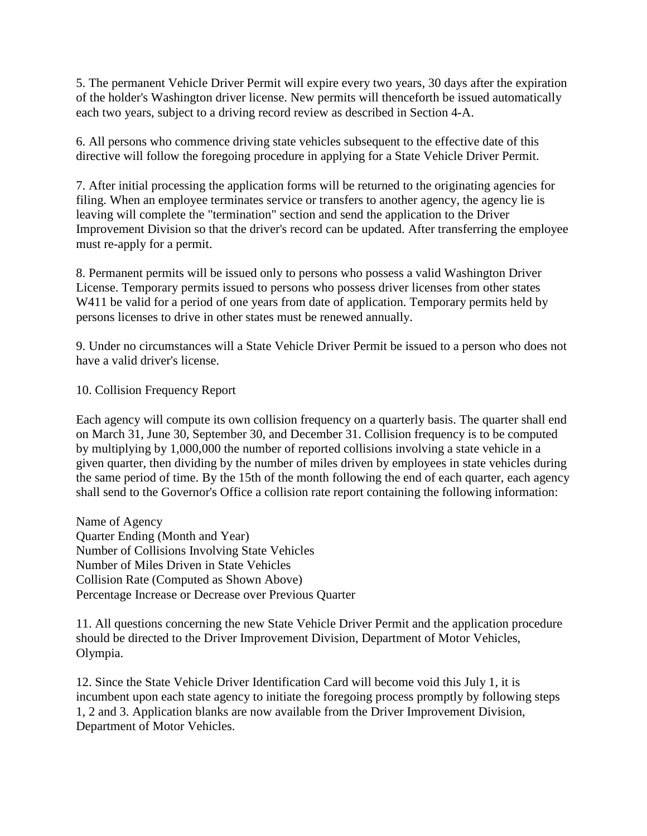5. The permanent Vehicle Driver Permit will expire every two years, 30 days after the expiration of the holder's Washington driver license. New permits will thenceforth be issued automatically each two years, subject to a driving record review as described in Section 4-A.

6. All persons who commence driving state vehicles subsequent to the effective date of this directive will follow the foregoing procedure in applying for a State Vehicle Driver Permit.

7. After initial processing the application forms will be returned to the originating agencies for filing. When an employee terminates service or transfers to another agency, the agency lie is leaving will complete the "termination" section and send the application to the Driver Improvement Division so that the driver's record can be updated. After transferring the employee must re-apply for a permit.

8. Permanent permits will be issued only to persons who possess a valid Washington Driver License. Temporary permits issued to persons who possess driver licenses from other states W411 be valid for a period of one years from date of application. Temporary permits held by persons licenses to drive in other states must be renewed annually.

9. Under no circumstances will a State Vehicle Driver Permit be issued to a person who does not have a valid driver's license.

## 10. Collision Frequency Report

Each agency will compute its own collision frequency on a quarterly basis. The quarter shall end on March 31, June 30, September 30, and December 31. Collision frequency is to be computed by multiplying by 1,000,000 the number of reported collisions involving a state vehicle in a given quarter, then dividing by the number of miles driven by employees in state vehicles during the same period of time. By the 15th of the month following the end of each quarter, each agency shall send to the Governor's Office a collision rate report containing the following information:

Name of Agency Quarter Ending (Month and Year) Number of Collisions Involving State Vehicles Number of Miles Driven in State Vehicles Collision Rate (Computed as Shown Above) Percentage Increase or Decrease over Previous Quarter

11. All questions concerning the new State Vehicle Driver Permit and the application procedure should be directed to the Driver Improvement Division, Department of Motor Vehicles, Olympia.

12. Since the State Vehicle Driver Identification Card will become void this July 1, it is incumbent upon each state agency to initiate the foregoing process promptly by following steps 1, 2 and 3. Application blanks are now available from the Driver Improvement Division, Department of Motor Vehicles.